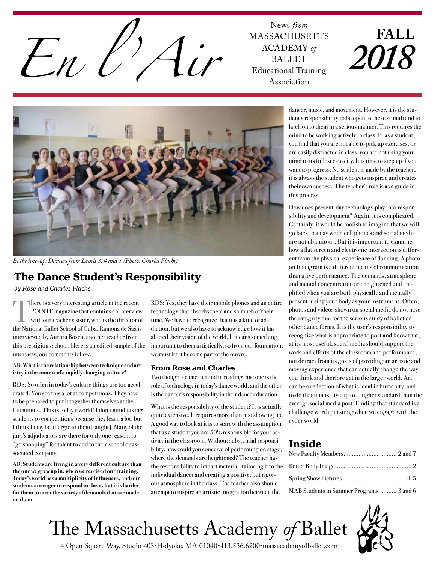

MASSACHUSETTS ACADEMY *of* BALLET Educational Training Association

**FALL** *2018*



*In the line-up: Dancers from Levels 3, 4 and 5 (Photo: Charles Flachs)*

## **The Dance Student's Responsibility**

*by Rose and Charles Flachs*

here is a very interesting article in the recent POINTE magazine that contains an interview with our teacher's sister, who is the director of the National Ballet School of Cuba. Ramona de Saá is interviewed by Aurora Bosch, another teacher from this prestigious school. Here is an edited sample of the interview; our comments follow.

#### **AB: What is the relationship between technique and artistry in the context of a rapidly changing culture?**

RDS: So often in today's culture things are too accelerated. You see this a lot at competitions. They have to be prepared to put it together themselves at the last minute. This is today's world! I don't mind taking students to competitions because they learn a lot, but I think I may be allergic to them [laughs]. Many of the jury's adjudicators are there for only one reason: to "go shopping" for talent to add to their school or associated company.

**AB: Students are living in a very different culture than the one we grew up in, when we received our training. Today's world has a multiplicity of influences, and our students are eager to respond to them, but it is harder for them to meet the variety of demands that are made on them.**

RDS: Yes, they have their mobile phones and an entire technology that absorbs them and so much of their time. We have to recognize that it is a kind of addiction, but we also have to acknowledge how it has altered their vision of the world. It means something important to them artistically, so from our foundation, we must let it become part of the œuvre.

#### **From Rose and Charles**

Two thoughts come to mind in reading this: one is the role of technology in today's dance world, and the other is the dancer's responsibility in their dance education.

What is the responsibility of the student? It is actually quite extensive. It requires more than just showing up. A good way to look at it is to start with the assumption that as a student you are 50% responsible for your activity in the classroom. Without substantial responsibility, how could you conceive of performing on stage, where the demands are heightened? The teacher has the responsibility to impart material, tailoring it to the individual dancer and creating a positive, but rigorous atmosphere in the class. The teacher also should attempt to inspire an artistic integration between the

dancer, music, and movement. However, it is the student's responsibility to be open to these stimuli and to latch on to them in a serious manner. This requires the mind to be working actively in class. If, as a student, you find that you are not able to pick up exercises, or are easily distracted in class, you are not using your mind to its fullest capacity. It is time to step up if you want to progress. No student is made by the teacher; it is always the student who gets inspired and creates their own success. The teacher's role is as a guide in this process.

How does present-day technology play into responsibility and development? Again, it is complicated. Certainly, it would be foolish to imagine that we will go back to a day when cell phones and social media are not ubiquitous. But it is important to examine how a flat screen and electronic interaction is different from the physical experience of dancing. A photo on Instagram is a different means of communication than a live performance. The demands, atmosphere and mental concentration are heightened and amplified when you are both physically and mentally present, using your body as your instrument. Often, photos and videos shown on social media do not have the integrity due for the serious study of ballet or other dance forms. It is the user's responsibility to recognize what is appropriate to post and know that, at its most useful, social media should support the work and efforts of the classroom and performance, not detract from its goals of providing an artistic and moving experience that can actually change the way you think and therfore act in the larger world. Art can be a reflection of what is ideal in humanity, and to do that it must live up to a higher standard than the average social media post. Finding that standard is a challenge worth pursuing when we engage with the cyber world.

### **Inside**

| MAB Students in Summer Programs 3 and 6 |  |
|-----------------------------------------|--|



The Massachusetts Academy *of* Ballet

4 Open Square Way, Studio 403•Holyoke, MA 01040•413.536.6200•massacademyofballet.com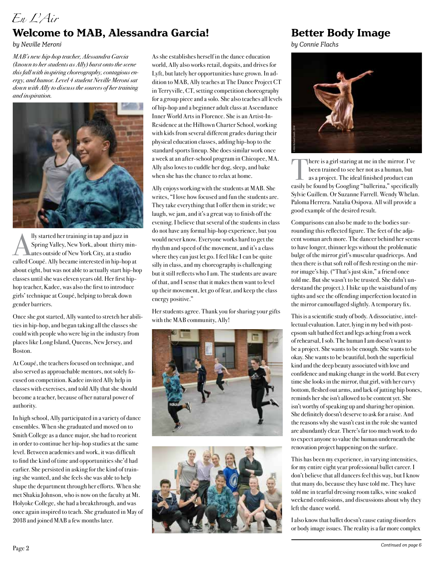# *En L'Air* **Welcome to MAB, Alessandra Garcia!**

#### *by Neville Meroni*

*MAB's new hip-hop teacher, Alessandra Garcia (known to her students as Ally) burst onto the scene this fall with inspiring choreography, contagious energy, and humor. Level 4 student Neville Meroni sat down with Ally to discuss the sources of her training and inspiration.* 



Ally started her training in tap and jazz in<br>Spring Valley, New York, about thirty m<br>attes outside of New York City, at a studie Spring Valley, New York, about thirty minutes outside of New York City, at a studio called Coupé. Ally became interested in hip-hop at about eight, but was not able to actually start hip-hop classes until she was eleven years old. Her first hiphop teacher, Kadee, was also the first to introduce girls' technique at Coupé, helping to break down gender barriers.

Once she got started, Ally wanted to stretch her abilities in hip-hop, and began taking all the classes she could with people who were big in the industry from places like Long Island, Queens, New Jersey, and Boston.

At Coupé, the teachers focused on technique, and also served as approachable mentors, not solely focused on competition. Kadee invited Ally help in classes with exercises, and told Ally that she should become a teacher, because of her natural power of authority.

In high school, Ally participated in a variety of dance ensembles. When she graduated and moved on to Smith College as a dance major, she had to reorient in order to continue her hip-hop studies at the same level. Between academics and work, it was difficult to find the kind of time and opportunities she'd had earlier. She persisted in asking for the kind of training she wanted, and she feels she was able to help shape the department through her efforts. When she met Shakia Johnson, who is now on the faculty at Mt. Holyoke College, she had a breakthrough, and was once again inspired to teach. She graduated in May of 2018 and joined MAB a few months later.

As she establishes herself in the dance education world, Ally also works retail, dogsits, and drives for Lyft, but lately her opportunities have grown. In addition to MAB, Ally teaches at The Dance Project CT in Terryville, CT, setting competition choreography for a group piece and a solo. She also teaches all levels of hip-hop and a beginner adult class at Ascendance Inner World Arts in Florence. She is an Artist-In-Residence at the Hilltown Charter School, working with kids from several different grades during their physical education classes, adding hip-hop to the standard sports lineup. She does similar work once a week at an after-school program in Chicopee, MA. Ally also loves to cuddle her dog, sleep, and bake when she has the chance to relax at home.

Ally enjoys working with the students at MAB. She writes, "I love how focused and fun the students are. They take everything that I offer them in stride; we laugh, we jam, and it's a great way to finish off the evening. I believe that several of the students in class do not have any formal hip-hop experience, but you would never know. Everyone works hard to get the rhythm and speed of the movement, and it's a class where they can just let go. I feel like I can be quite silly in class, and my choreography is challenging but it still reflects who I am. The students are aware of that, and I sense that it makes them want to level up their movement, let go of fear, and keep the class energy positive."

Her students agree. Thank you for sharing your gifts with the MAB community, Ally!





## **Better Body Image**

*by Connie Flachs*



There is a girl staring at me in the mirror. I've been trained to see her not as a human, but as a project. The ideal finished product can easily be found by Googling "ballerina," specifically Sylvie Guillem. Or Suzanne Farrell. Wendy Whelan. Paloma Herrera. Natalia Osipova. All will provide a good example of the desired result.

Comparisons can also be made to the bodies surrounding this reflected figure. The feet of the adjacent woman arch more. The dancer behind her seems to have longer, thinner legs without the problematic bulge of the mirror girl's muscular quadriceps. And then there is that soft roll of flesh resting on the mirror image's hip. ("That's just skin," a friend once told me. But she wasn't to be trusted. She didn't understand the project.). I hike up the waistband of my tights and see the offending imperfection located in the mirror camouflaged slightly. A temporary fix.

This is a scientific study of body. A dissociative, intellectual evaluation. Later, lying in my bed with postepsom salt bathed feet and legs aching from a week of rehearsal, I sob. The human I am doesn't want to be a project. She wants to be enough. She wants to be okay. She wants to be beautiful, both the superficial kind and the deep beauty associated with love and confidence and making change in the world. But every time she looks in the mirror, that girl, with her curvy bottom, fleshed out arms, and lack of jutting hip bones, reminds her she isn't allowed to be content yet. She isn't worthy of speaking up and sharing her opinion. She definitely doesn't deserve to ask for a raise. And the reasons why she wasn't cast in the role she wanted are abundantly clear. There's far too much work to do to expect anyone to value the human underneath the renovation project happening on the surface.

This has been my experience, in varying intensities, for my entire eight year professional ballet career. I don't believe that all dancers feel this way, but I know that many do, because they have told me. They have told me in tearful dressing room talks, wine soaked weekend confessions, and discussions about why they left the dance world.

I also know that ballet doesn't cause eating disorders or body image issues. The reality is a far more complex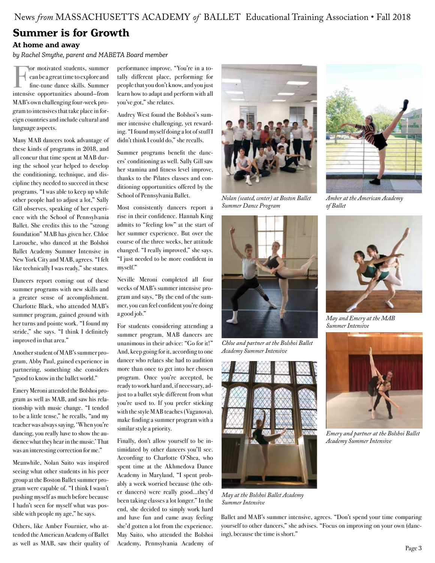News *from* MASSACHUSETTS ACADEMY *of* BALLET Educational Training Association • Fall 2018

### **Summer is for Growth**

#### **At home and away**

*by Rachel Smythe, parent and MABETA Board member*

or motivated students, summer<br>
can be agreat time to explore and<br>
fine-tune dance skills. Summer<br>
intensive opportunities abound—from or motivated students, summer can be a great time to explore and fine-tune dance skills. Summer MAB's own challenging four-week program to intensives that take place in foreign countries and include cultural and language aspects.

Many MAB dancers took advantage of these kinds of programs in 2018, and all concur that time spent at MAB during the school year helped to develop the conditioning, technique, and discipline they needed to succeed in these programs. "I was able to keep up while other people had to adjust a lot," Sally Gill observes, speaking of her experience with the School of Pennsylvania Ballet. She credits this to the "strong foundation" MAB has given her. Chloe Larouche, who danced at the Bolshoi Ballet Academy Summer Intensive in New York City and MAB, agrees. "I felt like technically I was ready," she states.

Dancers report coming out of these summer programs with new skills and a greater sense of accomplishment. Charlotte Black, who attended MAB's summer program, gained ground with her turns and pointe work. "I found my stride," she says. "I think I definitely improved in that area."

Another student of MAB's summer program, Abby Paul, gained experience in partnering, something she considers "good to know in the ballet world."

Emery Meroni attended the Bolshoi program as well as MAB, and saw his relationship with music change. "I tended to be a little tense," he recalls, "and my teacher was always saying, 'When you're dancing, you really have to show the audience what they hear in the music.' That was an interesting correction for me."

Meanwhile, Nolan Saito was inspired seeing what other students in his peer group at the Boston Ballet summer program were capable of. "I think I wasn't pushing myself as much before because I hadn't seen for myself what was possible with people my age," he says.

Others, like Amber Fournier, who attended the American Academy of Ballet as well as MAB, saw their quality of performance improve. "You're in a totally different place, performing for people that you don't know, and you just learn how to adapt and perform with all you've got," she relates.

Audrey West found the Bolshoi's summer intensive challenging, yet rewarding. "I found myself doing a lot of stuff I didn't think I could do," she recalls.

Summer programs benefit the dancers' conditioning as well. Sally Gill saw her stamina and fitness level improve, thanks to the Pilates classes and conditioning opportunities offered by the School of Pennsylvania Ballet.

Most consistently dancers report a rise in their confidence. Hannah King admits to "feeling low" at the start of her summer experience. But over the course of the three weeks, her attitude changed. "I really improved," she says. "I just needed to be more confident in myself."

Neville Meroni completed all four weeks of MAB's summer intensive program and says, "By the end of the summer, you can feel confident you're doing a good job."

For students considering attending a summer program, MAB dancers are unanimous in their advice: "Go for it!" And, keep going for it, according to one dancer who relates she had to audition more than once to get into her chosen program. Once you're accepted, be ready to work hard and, if necessary, adjust to a ballet style different from what you're used to. If you prefer sticking with the style MAB teaches (Vaganova), make finding a summer program with a similar style a priority.

Finally, don't allow yourself to be intimidated by other dancers you'll see. According to Charlotte O'Shea, who spent time at the Akhmedova Dance Academy in Maryland, "I spent probably a week worried because (the other dancers) were really good…they'd been taking classes a lot longer." In the end, she decided to simply work hard and have fun and came away feeling she'd gotten a lot from the experience. May Saito, who attended the Bolshoi Academy, Pennsylvania Academy of



*Nolan (seated, center) at Boston Ballet Summer Dance Program*



*Chloe and partner at the Bolshoi Ballet Academy Summer Intensive*



*May at the Bolshoi Ballet Academy Summer Intensive*

Ballet and MAB's summer intensive, agrees. "Don't spend your time comparing yourself to other dancers," she advises. "Focus on improving on your own (dancing), because the time is short."



*Amber at the American Academy of Ballet*



*May and Emery at the MAB Summer Intensive*



*Emery and partner at the Bolshoi Ballet Academy Summer Intensive*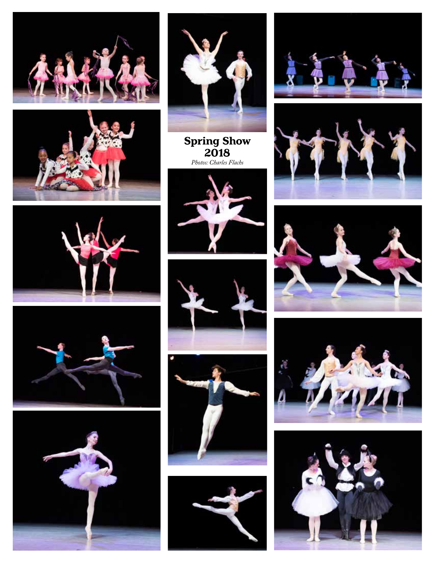











**Spring Show 2018** *Photos: Charles Flachs* 

















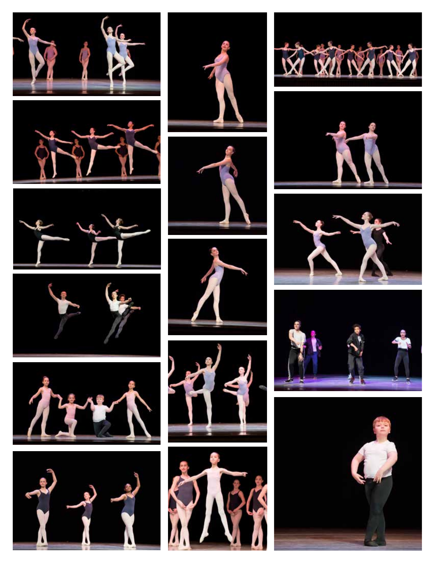





























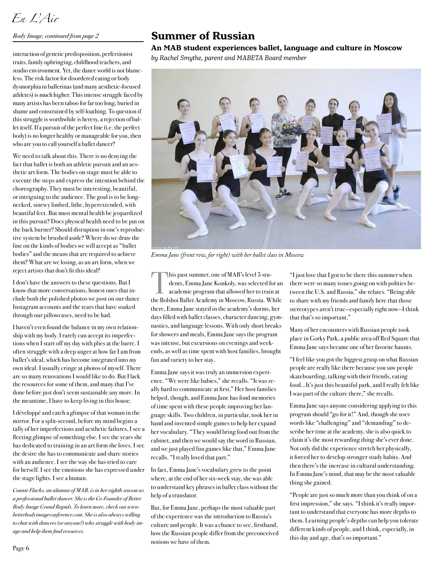# *En L'Air*

#### *Body Image, continued from page 2*

interaction of genetic predisposition, perfectionist traits, family upbringing, childhood teachers, and studio environment. Yet, the dance world is not blameless. The risk factor for disordered eating or body dysmorphia in ballerinas (and many aesthetic-focused athletes) is much higher. This intense struggle faced by many artists has been taboo for far too long, buried in shame and constrained by self-loathing. To question if this struggle is worthwhile is heresy, a rejection of ballet itself. If a pursuit of the perfect line (i.e. the perfect body) is no longer healthy or manageable for you, then who are you to call yourself a ballet dancer?

We need to talk about this. There is no denying the fact that ballet is both an athletic pursuit and an aesthetic art form. The bodies on stage must be able to execute the steps and express the intention behind the choreography. They must be interesting, beautiful, or intriguing to the audience. The goal is to be longnecked, sinewy limbed, lithe, hyperextended, with beautiful feet. But must mental health be jeopardized in this pursuit? Does physical health need to be put on the back burner? Should disruption in one's reproductive system be brushed aside? Where do we draw the line on the kinds of bodies we will accept as "ballet bodies" and the means that are required to achieve them? What are we losing, as an art form, when we reject artists that don't fit this ideal?

I don't have the answers to these questions. But I know that more conversations, honest ones that include both the polished photos we post on our dance Instagram accounts and the tears that have soaked through our pillowcases, need to be had.

I haven't even found the balance in my own relationship with my body. I rarely can accept its imperfections when I start off my day with plies at the barre. I often struggle with a deep anger at how far I am from ballet's ideal, which has become integrated into my own ideal. I usually cringe at photos of myself. There are so many renovations I would like to do. But I lack the resources for some of them, and many that I've done before just don't seem sustainable any more. In the meantime, I have to keep living in this house.

I développé and catch a glimpse of that woman in the mirror. For a split-second, before my mind begins a tally of her imperfections and aesthetic failures, I see a fleeting glimpse of something else. I see the years she has dedicated to training in an art form she loves. I see the desire she has to communicate and share stories with an audience. I see the way she has tried to care for herself. I see the emotions she has expressed under the stage lights. I see a human.

*Connie Flachs, an alumna of MAB, is in her eighth season as a professional ballet dancer. She is the Co-Founder of Better Body Image Grand Rapids. To learn more, check out www. betterbodyimageconference.com. She is also always willing to chat with dancers (or anyone!) who struggle with body image and help them find resources.* 

### **Summer of Russian**

**An MAB student experiences ballet, language and culture in Moscow**

*by Rachel Smythe, parent and MABETA Board member*



*Emma Jane (front row, far right) with her ballet class in Moscow*

This past summer, one of MAB's level 5 stu-<br>dents, Emma Jane Konkoly, was selected for an<br>academic program that allowed her to train at dents, Emma Jane Konkoly, was selected for an the Bolshoi Ballet Academy in Moscow, Russia. While there, Emma Jane stayed in the academy's dorms, her days filled with ballet classes, character dancing, gymnastics, and language lessons. With only short breaks for showers and meals, Emma Jane says the program was intense, but excursions on evenings and weekends, as well as time spent with host families, brought fun and variety to her stay.

Emma Jane says it was truly an immersion experience. "We were like babies," she recalls. "It was really hard to communicate at first." Her host families helped, though, and Emma Jane has fond memories of time spent with these people improving her language skills. Two children, in particular, took her in hand and invented simple games to help her expand her vocabulary. "They would bring food out from the cabinet, and then we would say the word in Russian, and we just played fun games like that," Emma Jane recalls. "I really loved that part."

In fact, Emma Jane's vocabulary grew to the point where, at the end of her six-week stay, she was able to understand key phrases in ballet class without the help of a translator.

But, for Emma Jane, perhaps the most valuable part of the experience was the introduction to Russia's culture and people. It was a chance to see, firsthand, how the Russian people differ from the preconceived notions we have of them.

"I just love that I got to be there this summer when there were so many issues going on with politics between the U.S. and Russia," she relates. "Being able to share with my friends and family here that those stereotypes aren't true—especially right now—I think that that's so important."

Many of her encounters with Russian people took place in Gorky Park, a public area off Red Square that Emma Jane says became one of her favorite haunts.

"I feel like you got the biggest grasp on what Russian people are really like there because you saw people skateboarding, talking with their friends, eating food…It's just this beautiful park, and I really felt like I was part of the culture there," she recalls.

Emma Jane says anyone considering applying to this program should "go for it!" And, though she uses words like "challenging" and "demanding" to describe her time at the academy, she is also quick to claim it's the most rewarding thing she's ever done. Not only did the experience stretch her physically, it forced her to develop stronger study habits. And then there's the increase in cultural understanding. In Emma Jane's mind, that may be the most valuable thing she gained.

"People are just so much more than you think of on a first impression," she says. "I think it's really important to understand that everyone has more depths to them. Learning people's depths can help you tolerate different kinds of people, and I think, especially, in this day and age, that's so important."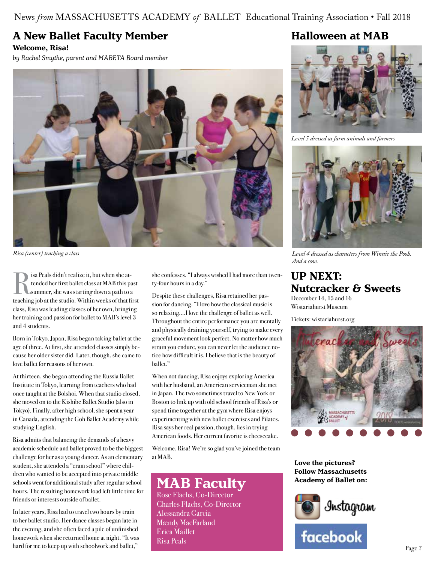### **A New Ballet Faculty Member**

**Welcome, Risa!**

*by Rachel Smythe, parent and MABETA Board member*



*Risa (center) teaching a class*

ISS Peals didn't realize it, but when she at-<br>tended her first ballet class at MAB this pas<br>summer, she was starting down a path to a tended her first ballet class at MAB this past teaching job at the studio. Within weeks of that first class, Risa was leading classes of her own, bringing her training and passion for ballet to MAB's level 3 and 4 students.

Born in Tokyo, Japan, Risa began taking ballet at the age of three. At first, she attended classes simply because her older sister did. Later, though, she came to love ballet for reasons of her own.

At thirteen, she began attending the Russia Ballet Institute in Tokyo, learning from teachers who had once taught at the Bolshoi. When that studio closed, she moved on to the Kishibe Ballet Studio (also in Tokyo). Finally, after high school, she spent a year in Canada, attending the Goh Ballet Academy while studying English.

Risa admits that balancing the demands of a heavy academic schedule and ballet proved to be the biggest challenge for her as a young dancer. As an elementary student, she attended a "cram school" where children who wanted to be accepted into private middle schools went for additional study after regular school hours. The resulting homework load left little time for friends or interests outside of ballet.

In later years, Risa had to travel two hours by train to her ballet studio. Her dance classes began late in the evening, and she often faced a pile of unfinished homework when she returned home at night. "It was hard for me to keep up with schoolwork and ballet,"

she confesses. "I always wished I had more than twenty-four hours in a day."

Despite these challenges, Risa retained her passion for dancing. "I love how the classical music is so relaxing….I love the challenge of ballet as well. Throughout the entire performance you are mentally and physically draining yourself, trying to make every graceful movement look perfect. No matter how much strain you endure, you can never let the audience notice how difficult it is. I believe that is the beauty of ballet."

When not dancing, Risa enjoys exploring America with her husband, an American serviceman she met in Japan. The two sometimes travel to New York or Boston to link up with old school friends of Risa's or spend time together at the gym where Risa enjoys experimenting with new ballet exercises and Pilates. Risa says her real passion, though, lies in trying American foods. Her current favorite is cheesecake.

Welcome, Risa! We're so glad you've joined the team at MAB.

# **MAB Faculty**

Rose Flachs, Co-Director Charles Flachs, Co-Director Alessandra Garcia Mændy MacFarland Erica Maillet Risa Peals

### **Halloween at MAB**



*Level 5 dressed as farm animals and farmers*



*Level 4 dressed as characters from Winnie the Pooh. And a cow.*

# **UP NEXT: Nutcracker & Sweets**

December 14, 15 and 16 Wistariahurst Museum

Tickets: wistariahurst.org



**Love the pictures? Follow Massachusetts Academy of Ballet on:**